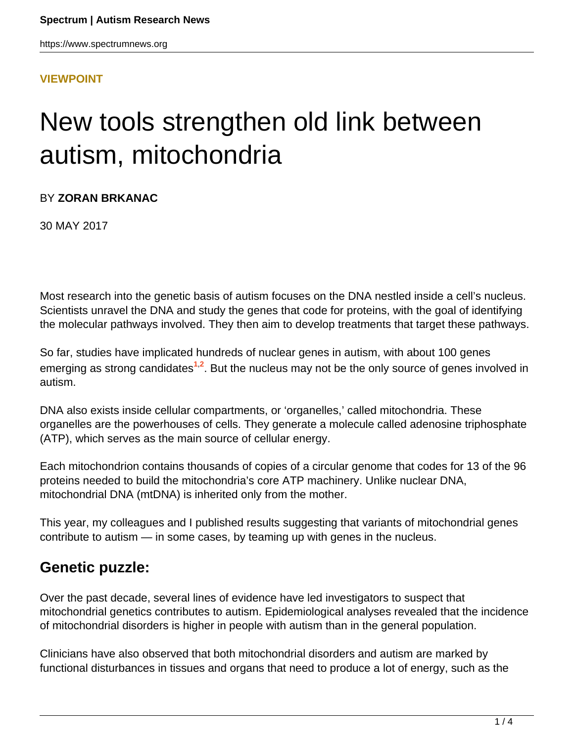### **[VIEWPOINT](HTTPS://WWW.SPECTRUMNEWS.ORG/OPINION/VIEWPOINT/)**

# New tools strengthen old link between autism, mitochondria

## BY **ZORAN BRKANAC**

30 MAY 2017

Most research into the genetic basis of autism focuses on the DNA nestled inside a cell's nucleus. Scientists unravel the DNA and study the genes that code for proteins, with the goal of identifying the molecular pathways involved. They then aim to develop treatments that target these pathways.

So far, studies have implicated hundreds of nuclear genes in autism, with about 100 genes emerging as strong candidates<sup>1,2</sup>. But the nucleus may not be the only source of genes involved in autism.

DNA also exists inside cellular compartments, or 'organelles,' called mitochondria. These organelles are the powerhouses of cells. They generate a molecule called adenosine triphosphate (ATP), which serves as the main source of cellular energy.

Each mitochondrion contains thousands of copies of a circular genome that codes for 13 of the 96 proteins needed to build the mitochondria's core ATP machinery. Unlike nuclear DNA, mitochondrial DNA (mtDNA) is inherited only from the mother.

This year, my colleagues and I published results suggesting that variants of mitochondrial genes contribute to autism — in some cases, by teaming up with genes in the nucleus.

## **Genetic puzzle:**

Over the past decade, several lines of evidence have led investigators to suspect that mitochondrial genetics contributes to autism. Epidemiological analyses revealed that the incidence of mitochondrial disorders is higher in people with autism than in the general population.

Clinicians have also observed that both mitochondrial disorders and autism are marked by functional disturbances in tissues and organs that need to produce a lot of energy, such as the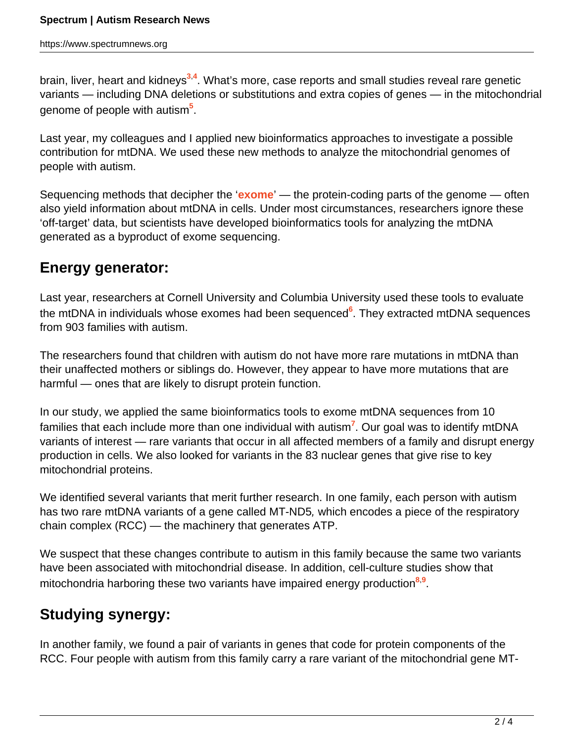brain, liver, heart and kidneys**<sup>3</sup>**,**<sup>4</sup>** . What's more, case reports and small studies reveal rare genetic variants — including DNA deletions or substitutions and extra copies of genes — in the mitochondrial genome of people with autism**<sup>5</sup>** .

Last year, my colleagues and I applied new bioinformatics approaches to investigate a possible contribution for mtDNA. We used these new methods to analyze the mitochondrial genomes of people with autism.

Sequencing methods that decipher the '**[exome](https://www.spectrumnews.org/wiki/exome/)**' — the protein-coding parts of the genome — often also yield information about mtDNA in cells. Under most circumstances, researchers ignore these 'off-target' data, but scientists have developed bioinformatics tools for analyzing the mtDNA generated as a byproduct of exome sequencing.

## **Energy generator:**

Last year, researchers at Cornell University and Columbia University used these tools to evaluate the mtDNA in individuals whose exomes had been sequenced**<sup>6</sup>** . They extracted mtDNA sequences from 903 families with autism.

The researchers found that children with autism do not have more rare mutations in mtDNA than their unaffected mothers or siblings do. However, they appear to have more mutations that are harmful — ones that are likely to disrupt protein function.

In our study, we applied the same bioinformatics tools to exome mtDNA sequences from 10 families that each include more than one individual with autism**<sup>7</sup>** . Our goal was to identify mtDNA variants of interest — rare variants that occur in all affected members of a family and disrupt energy production in cells. We also looked for variants in the 83 nuclear genes that give rise to key mitochondrial proteins.

We identified several variants that merit further research. In one family, each person with autism has two rare mtDNA variants of a gene called MT-ND5, which encodes a piece of the respiratory chain complex (RCC) — the machinery that generates ATP.

We suspect that these changes contribute to autism in this family because the same two variants have been associated with mitochondrial disease. In addition, cell-culture studies show that mitochondria harboring these two variants have impaired energy production**<sup>8</sup>**,**<sup>9</sup>** .

## **Studying synergy:**

In another family, we found a pair of variants in genes that code for protein components of the RCC. Four people with autism from this family carry a rare variant of the mitochondrial gene MT-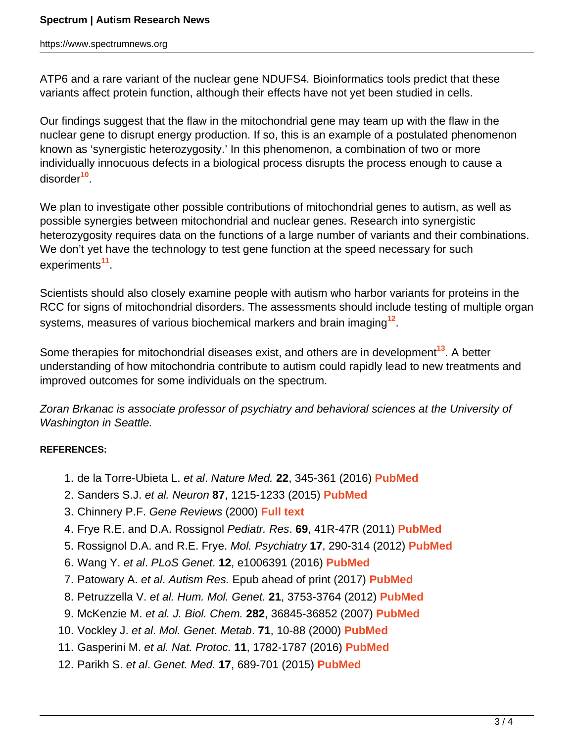#### **Spectrum | Autism Research News**

https://www.spectrumnews.org

ATP6 and a rare variant of the nuclear gene NDUFS4. Bioinformatics tools predict that these variants affect protein function, although their effects have not yet been studied in cells.

Our findings suggest that the flaw in the mitochondrial gene may team up with the flaw in the nuclear gene to disrupt energy production. If so, this is an example of a postulated phenomenon known as 'synergistic heterozygosity.' In this phenomenon, a combination of two or more individually innocuous defects in a biological process disrupts the process enough to cause a disorder**<sup>10</sup>** .

We plan to investigate other possible contributions of mitochondrial genes to autism, as well as possible synergies between mitochondrial and nuclear genes. Research into synergistic heterozygosity requires data on the functions of a large number of variants and their combinations. We don't yet have the technology to test gene function at the speed necessary for such experiments**<sup>11</sup>** .

Scientists should also closely examine people with autism who harbor variants for proteins in the RCC for signs of mitochondrial disorders. The assessments should include testing of multiple organ systems, measures of various biochemical markers and brain imaging**<sup>12</sup>** .

Some therapies for mitochondrial diseases exist, and others are in development**<sup>13</sup>**. A better understanding of how mitochondria contribute to autism could rapidly lead to new treatments and improved outcomes for some individuals on the spectrum.

Zoran Brkanac is associate professor of psychiatry and behavioral sciences at the University of Washington in Seattle.

#### **REFERENCES:**

- 1. de la Torre-Ubieta L. et al. Nature Med. **22**, 345-361 (2016) **[PubMed](https://www.ncbi.nlm.nih.gov/pubmed/27050589)**
- 2. Sanders S.J. et al. Neuron **87**, 1215-1233 (2015) **[PubMed](https://www.ncbi.nlm.nih.gov/pubmed/26402605)**
- 3. Chinnery P.F. Gene Reviews (2000) **[Full text](https://www.ncbi.nlm.nih.gov/books/NBK1224/)**
- 4. Frye R.E. and D.A. Rossignol Pediatr. Res. **69**, 41R-47R (2011) **[PubMed](https://www.ncbi.nlm.nih.gov/pubmed/21289536)**
- 5. Rossignol D.A. and R.E. Frye. Mol. Psychiatry **17**, 290-314 (2012) **[PubMed](https://www.ncbi.nlm.nih.gov/pubmed/21263444)**
- 6. Wang Y. et al. PLoS Genet. **12**, e1006391 (2016) **[PubMed](https://www.ncbi.nlm.nih.gov/pubmed/27792786)**
- 7. Patowary A. et al. Autism Res. Epub ahead of print (2017) **[PubMed](https://www.ncbi.nlm.nih.gov/pubmed/28419775)**
- 8. Petruzzella V. et al. Hum. Mol. Genet. **21**, 3753-3764 (2012) **[PubMed](https://www.ncbi.nlm.nih.gov/pubmed/22589247)**
- 9. McKenzie M. et al. J. Biol. Chem. **282**, 36845-36852 (2007) **[PubMed](https://www.ncbi.nlm.nih.gov/pubmed/17940288)**
- 10. Vockley J. et al. Mol. Genet. Metab. **71**, 10-88 (2000) **[PubMed](https://www.ncbi.nlm.nih.gov/pubmed/11001791)**
- 11. Gasperini M. et al. Nat. Protoc. **11**, 1782-1787 (2016) **[PubMed](https://www.ncbi.nlm.nih.gov/pubmed/27583640)**
- 12. Parikh S. et al. Genet. Med. **17**, 689-701 (2015) **[PubMed](https://www.ncbi.nlm.nih.gov/pubmed/25503498)**